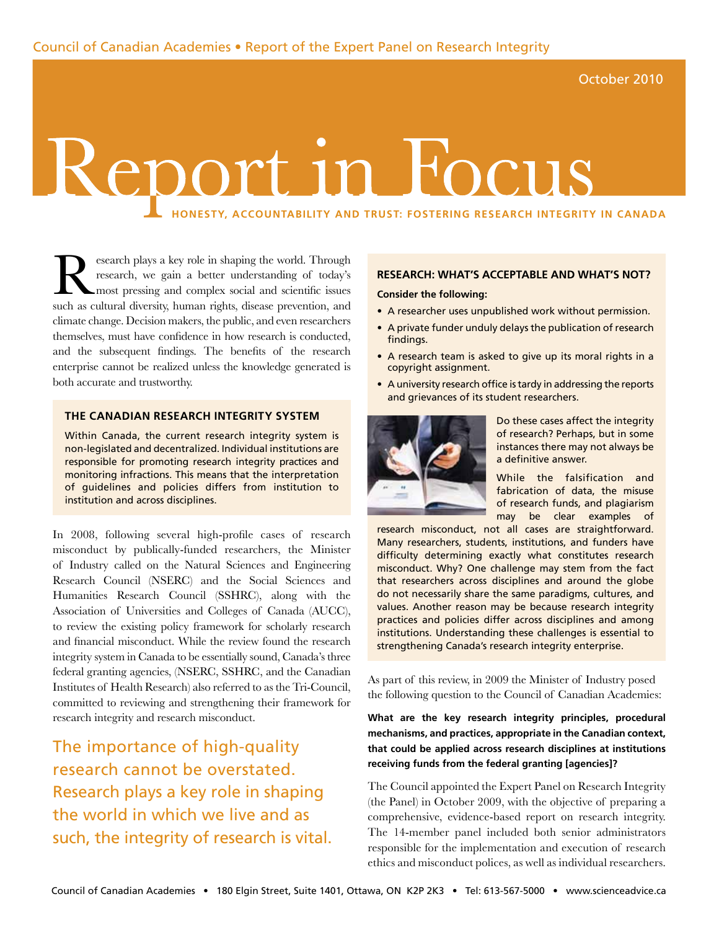## Report **Hoci honesty, accountability and trust: fostering research integrity in canada**

esearch plays a key role in shaping the world. Through research, we gain a better understanding of today's most pressing and complex social and scientific issues such as cultural diversity, human rights, disease prevention, and climate change. Decision makers, the public, and even researchers themselves, must have confidence in how research is conducted, and the subsequent findings. The benefits of the research enterprise cannot be realized unless the knowledge generated is both accurate and trustworthy.

### **The Canadian Research Integrity System**

Within Canada, the current research integrity system is non-legislated and decentralized. Individual institutions are responsible for promoting research integrity practices and monitoring infractions. This means that the interpretation of guidelines and policies differs from institution to institution and across disciplines.

In 2008, following several high-profile cases of research misconduct by publically-funded researchers, the Minister of Industry called on the Natural Sciences and Engineering Research Council (NSERC) and the Social Sciences and Humanities Research Council (SSHRC), along with the Association of Universities and Colleges of Canada (AUCC), to review the existing policy framework for scholarly research and financial misconduct. While the review found the research integrity system in Canada to be essentially sound, Canada's three federal granting agencies, (NSERC, SSHRC, and the Canadian Institutes of Health Research) also referred to as the Tri-Council, committed to reviewing and strengthening their framework for research integrity and research misconduct.

The importance of high-quality research cannot be overstated. Research plays a key role in shaping the world in which we live and as such, the integrity of research is vital.

## **Research: What's acceptable and what's not?**

#### **Consider the following:**

- A researcher uses unpublished work without permission.
- A private funder unduly delays the publication of research findings.
- A research team is asked to give up its moral rights in a copyright assignment.
- A university research office is tardy in addressing the reports and grievances of its student researchers.



Do these cases affect the integrity of research? Perhaps, but in some instances there may not always be a definitive answer.

While the falsification and fabrication of data, the misuse of research funds, and plagiarism may be clear examples of

research misconduct, not all cases are straightforward. Many researchers, students, institutions, and funders have difficulty determining exactly what constitutes research misconduct. Why? One challenge may stem from the fact that researchers across disciplines and around the globe do not necessarily share the same paradigms, cultures, and values. Another reason may be because research integrity practices and policies differ across disciplines and among institutions. Understanding these challenges is essential to strengthening Canada's research integrity enterprise.

As part of this review, in 2009 the Minister of Industry posed the following question to the Council of Canadian Academies:

**What are the key research integrity principles, procedural mechanisms, and practices, appropriate in the Canadian context, that could be applied across research disciplines at institutions receiving funds from the federal granting [agencies]?** 

The Council appointed the Expert Panel on Research Integrity (the Panel) in October 2009, with the objective of preparing a comprehensive, evidence-based report on research integrity. The 14-member panel included both senior administrators responsible for the implementation and execution of research ethics and misconduct polices, as well as individual researchers.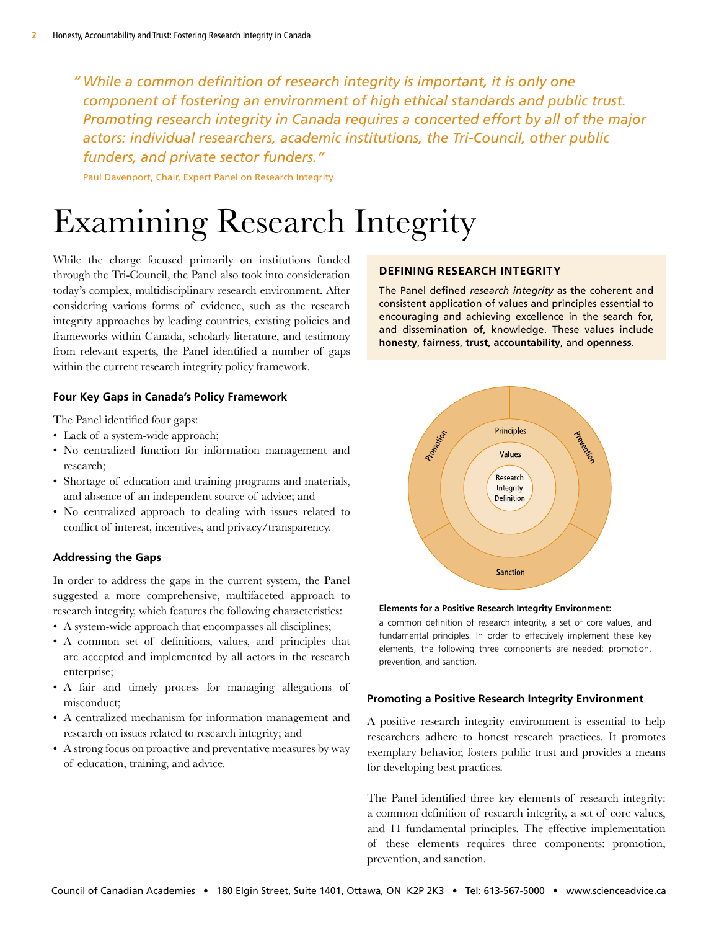*" While a common definition of research integrity is important, it is only one component of fostering an environment of high ethical standards and public trust. Promoting research integrity in Canada requires a concerted effort by all of the major actors: individual researchers, academic institutions, the Tri-Council, other public funders, and private sector funders."*

Paul Davenport, Chair, Expert Panel on Research Integrity

## Examining Research Integrity

While the charge focused primarily on institutions funded through the Tri-Council, the Panel also took into consideration today's complex, multidisciplinary research environment. After considering various forms of evidence, such as the research integrity approaches by leading countries, existing policies and frameworks within Canada, scholarly literature, and testimony from relevant experts, the Panel identified a number of gaps within the current research integrity policy framework.

#### **Four Key Gaps in Canada's Policy Framework**

The Panel identified four gaps:

- Lack of a system-wide approach;
- No centralized function for information management and research;
- Shortage of education and training programs and materials, and absence of an independent source of advice; and
- No centralized approach to dealing with issues related to conflict of interest, incentives, and privacy/transparency.

## **Addressing the Gaps**

In order to address the gaps in the current system, the Panel suggested a more comprehensive, multifaceted approach to research integrity, which features the following characteristics:

- A system-wide approach that encompasses all disciplines;
- A common set of definitions, values, and principles that are accepted and implemented by all actors in the research enterprise;
- A fair and timely process for managing allegations of misconduct;
- A centralized mechanism for information management and research on issues related to research integrity; and
- A strong focus on proactive and preventative measures by way of education, training, and advice.

## **Defining Research Integrity**

The Panel defined *research integrity* as the coherent and consistent application of values and principles essential to encouraging and achieving excellence in the search for, and dissemination of, knowledge. These values include **honesty**, **fairness**, **trust**, **accountability**, and **openness**.



#### **Elements for a Positive Research Integrity Environment:**

a common definition of research integrity, a set of core values, and fundamental principles. In order to effectively implement these key elements, the following three components are needed: promotion, prevention, and sanction.

#### **Promoting a Positive Research Integrity Environment**

A positive research integrity environment is essential to help researchers adhere to honest research practices. It promotes exemplary behavior, fosters public trust and provides a means for developing best practices.

The Panel identified three key elements of research integrity: a common definition of research integrity, a set of core values, and 11 fundamental principles. The effective implementation of these elements requires three components: promotion, prevention, and sanction.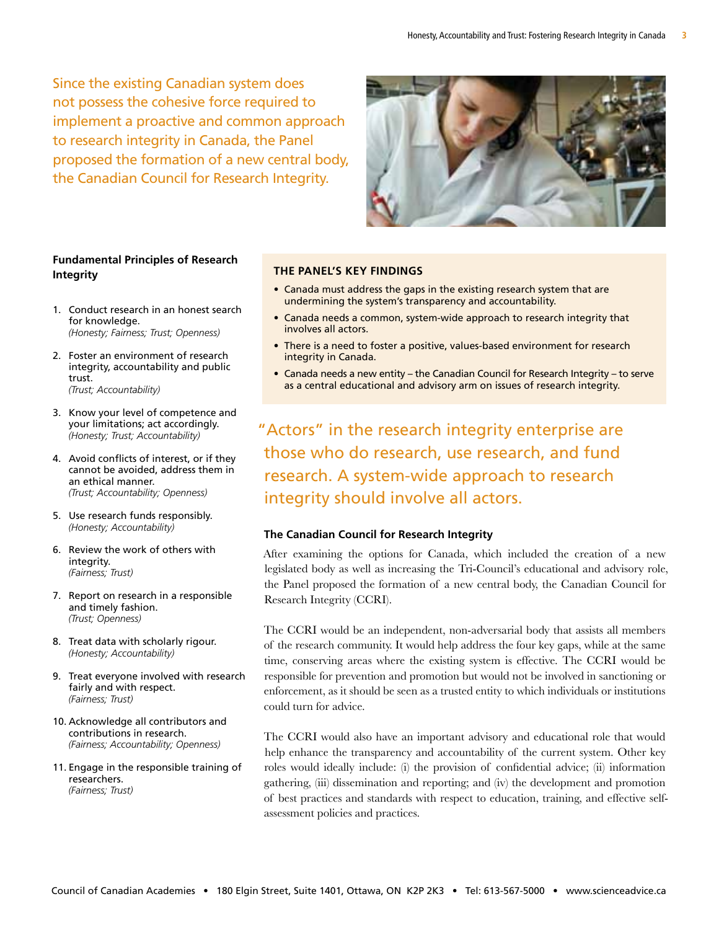Since the existing Canadian system does not possess the cohesive force required to implement a proactive and common approach to research integrity in Canada, the Panel proposed the formation of a new central body, the Canadian Council for Research Integrity.



## **Fundamental Principles of Research Integrity**

- 1. Conduct research in an honest search for knowledge. *(Honesty; Fairness; Trust; Openness)*
- 2. Foster an environment of research integrity, accountability and public trust. *(Trust; Accountability)*
- 3. Know your level of competence and your limitations; act accordingly. *(Honesty; Trust; Accountability)*
- 4. Avoid conflicts of interest, or if they cannot be avoided, address them in an ethical manner. *(Trust; Accountability; Openness)*
- 5. Use research funds responsibly. *(Honesty; Accountability)*
- 6. Review the work of others with integrity. *(Fairness; Trust)*
- 7. Report on research in a responsible and timely fashion. *(Trust; Openness)*
- 8. Treat data with scholarly rigour. *(Honesty; Accountability)*
- 9. Treat everyone involved with research fairly and with respect. *(Fairness; Trust)*
- 10. Acknowledge all contributors and contributions in research. *(Fairness; Accountability; Openness)*
- 11. Engage in the responsible training of researchers. *(Fairness; Trust)*

## **The Panel's Key Findings**

- Canada must address the gaps in the existing research system that are undermining the system's transparency and accountability.
- Canada needs a common, system-wide approach to research integrity that involves all actors.
- There is a need to foster a positive, values-based environment for research integrity in Canada.
- Canada needs a new entity the Canadian Council for Research Integrity to serve as a central educational and advisory arm on issues of research integrity.

"Actors" in the research integrity enterprise are those who do research, use research, and fund research. A system-wide approach to research integrity should involve all actors.

## **The Canadian Council for Research Integrity**

After examining the options for Canada, which included the creation of a new legislated body as well as increasing the Tri-Council's educational and advisory role, the Panel proposed the formation of a new central body, the Canadian Council for Research Integrity (CCRI).

The CCRI would be an independent, non-adversarial body that assists all members of the research community. It would help address the four key gaps, while at the same time, conserving areas where the existing system is effective. The CCRI would be responsible for prevention and promotion but would not be involved in sanctioning or enforcement, as it should be seen as a trusted entity to which individuals or institutions could turn for advice.

The CCRI would also have an important advisory and educational role that would help enhance the transparency and accountability of the current system. Other key roles would ideally include: (i) the provision of confidential advice; (ii) information gathering, (iii) dissemination and reporting; and (iv) the development and promotion of best practices and standards with respect to education, training, and effective selfassessment policies and practices.